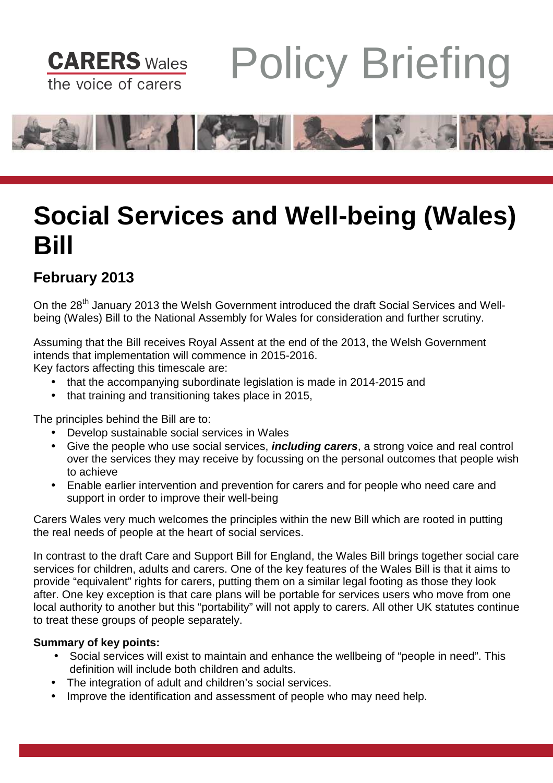

# Policy Briefing



# **Social Services and Well-being (Wales) Bill**

## **February 2013**

On the 28<sup>th</sup> January 2013 the Welsh Government introduced the draft Social Services and Wellbeing (Wales) Bill to the National Assembly for Wales for consideration and further scrutiny.

Assuming that the Bill receives Royal Assent at the end of the 2013, the Welsh Government intends that implementation will commence in 2015-2016.

Key factors affecting this timescale are:

- that the accompanying subordinate legislation is made in 2014-2015 and
- that training and transitioning takes place in 2015,

The principles behind the Bill are to:

- Develop sustainable social services in Wales
- Give the people who use social services, **including carers**, a strong voice and real control over the services they may receive by focussing on the personal outcomes that people wish to achieve
- Enable earlier intervention and prevention for carers and for people who need care and support in order to improve their well-being

Carers Wales very much welcomes the principles within the new Bill which are rooted in putting the real needs of people at the heart of social services.

In contrast to the draft Care and Support Bill for England, the Wales Bill brings together social care services for children, adults and carers. One of the key features of the Wales Bill is that it aims to provide "equivalent" rights for carers, putting them on a similar legal footing as those they look after. One key exception is that care plans will be portable for services users who move from one local authority to another but this "portability" will not apply to carers. All other UK statutes continue to treat these groups of people separately.

### **Summary of key points:**

- Social services will exist to maintain and enhance the wellbeing of "people in need". This definition will include both children and adults.
- The integration of adult and children's social services.
- Improve the identification and assessment of people who may need help.